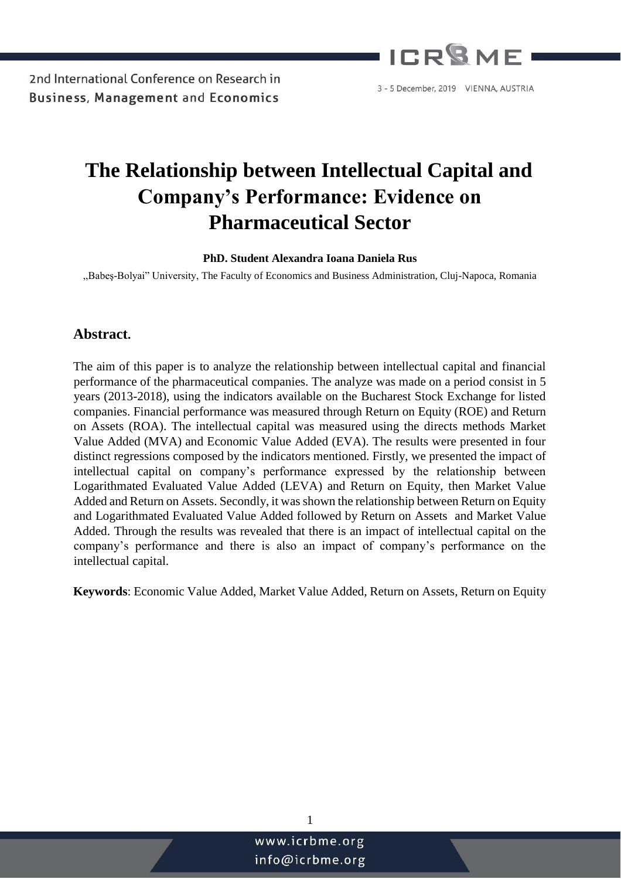

## **The Relationship between Intellectual Capital and Company's Performance: Evidence on Pharmaceutical Sector**

#### **PhD. Student Alexandra Ioana Daniela Rus**

,,Babeş-Bolyai" University, The Faculty of Economics and Business Administration, Cluj-Napoca, Romania

#### **Abstract.**

The aim of this paper is to analyze the relationship between intellectual capital and financial performance of the pharmaceutical companies. The analyze was made on a period consist in 5 years (2013-2018), using the indicators available on the Bucharest Stock Exchange for listed companies. Financial performance was measured through Return on Equity (ROE) and Return on Assets (ROA). The intellectual capital was measured using the directs methods Market Value Added (MVA) and Economic Value Added (EVA). The results were presented in four distinct regressions composed by the indicators mentioned. Firstly, we presented the impact of intellectual capital on company's performance expressed by the relationship between Logarithmated Evaluated Value Added (LEVA) and Return on Equity, then Market Value Added and Return on Assets. Secondly, it was shown the relationship between Return on Equity and Logarithmated Evaluated Value Added followed by Return on Assets and Market Value Added. Through the results was revealed that there is an impact of intellectual capital on the company's performance and there is also an impact of company's performance on the intellectual capital.

**Keywords**: Economic Value Added, Market Value Added, Return on Assets, Return on Equity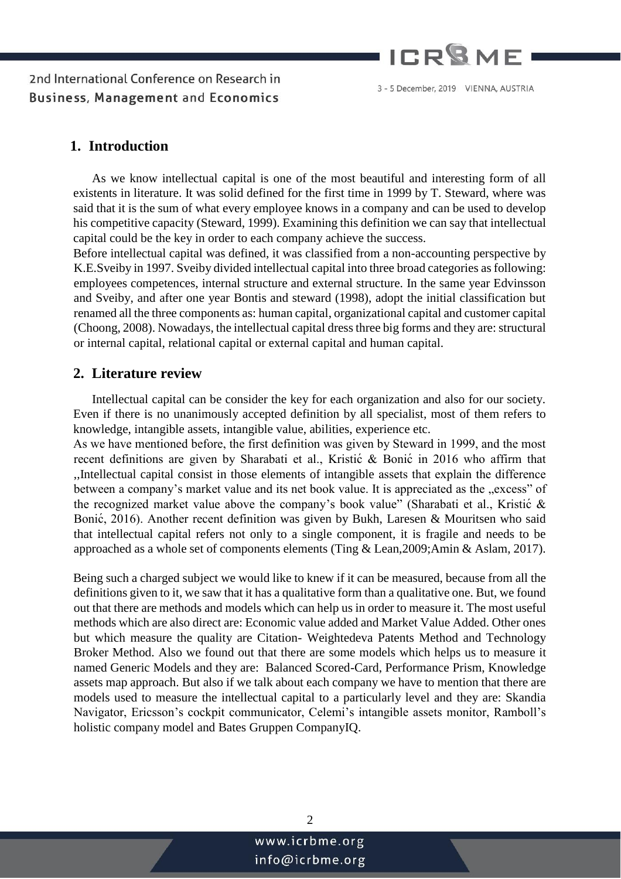

#### 3 - 5 December, 2019 VIENNA, AUSTRIA

#### **1. Introduction**

As we know intellectual capital is one of the most beautiful and interesting form of all existents in literature. It was solid defined for the first time in 1999 by T. Steward, where was said that it is the sum of what every employee knows in a company and can be used to develop his competitive capacity (Steward, 1999). Examining this definition we can say that intellectual capital could be the key in order to each company achieve the success.

Before intellectual capital was defined, it was classified from a non-accounting perspective by K.E.Sveiby in 1997. Sveiby divided intellectual capital into three broad categories as following: employees competences, internal structure and external structure. In the same year Edvinsson and Sveiby, and after one year Bontis and steward (1998), adopt the initial classification but renamed all the three components as: human capital, organizational capital and customer capital (Choong, 2008). Nowadays, the intellectual capital dress three big forms and they are: structural or internal capital, relational capital or external capital and human capital.

#### **2. Literature review**

Intellectual capital can be consider the key for each organization and also for our society. Even if there is no unanimously accepted definition by all specialist, most of them refers to knowledge, intangible assets, intangible value, abilities, experience etc.

As we have mentioned before, the first definition was given by Steward in 1999, and the most recent definitions are given by Sharabati et al., Kristić & Bonić in 2016 who affirm that ,,Intellectual capital consist in those elements of intangible assets that explain the difference between a company's market value and its net book value. It is appreciated as the "excess" of the recognized market value above the company's book value" (Sharabati et al., Kristić & Bonić , 2016). Another recent definition was given by Bukh, Laresen & Mouritsen who said that intellectual capital refers not only to a single component, it is fragile and needs to be approached as a whole set of components elements (Ting & Lean,2009;Amin & Aslam, 2017).

Being such a charged subject we would like to knew if it can be measured, because from all the definitions given to it, we saw that it has a qualitative form than a qualitative one. But, we found out that there are methods and models which can help us in order to measure it. The most useful methods which are also direct are: Economic value added and Market Value Added. Other ones but which measure the quality are Citation- Weightedeva Patents Method and Technology Broker Method. Also we found out that there are some models which helps us to measure it named Generic Models and they are: Balanced Scored-Card, Performance Prism, Knowledge assets map approach. But also if we talk about each company we have to mention that there are models used to measure the intellectual capital to a particularly level and they are: Skandia Navigator, Ericsson's cockpit communicator, Celemi's intangible assets monitor, Ramboll's holistic company model and Bates Gruppen CompanyIQ.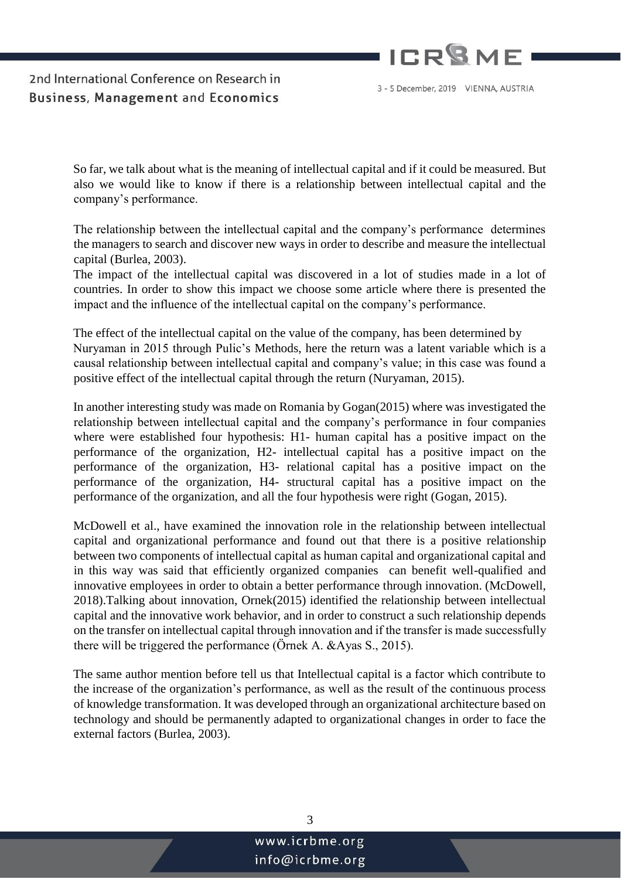

3 - 5 December, 2019 VIENNA, AUSTRIA

So far, we talk about what is the meaning of intellectual capital and if it could be measured. But also we would like to know if there is a relationship between intellectual capital and the company's performance.

The relationship between the intellectual capital and the company's performance determines the managers to search and discover new ways in order to describe and measure the intellectual capital (Burlea, 2003).

The impact of the intellectual capital was discovered in a lot of studies made in a lot of countries. In order to show this impact we choose some article where there is presented the impact and the influence of the intellectual capital on the company's performance.

The effect of the intellectual capital on the value of the company, has been determined by Nuryaman in 2015 through Pulic's Methods, here the return was a latent variable which is a causal relationship between intellectual capital and company's value; in this case was found a positive effect of the intellectual capital through the return (Nuryaman, 2015).

In another interesting study was made on Romania by Gogan(2015) where was investigated the relationship between intellectual capital and the company's performance in four companies where were established four hypothesis: H1- human capital has a positive impact on the performance of the organization, H2- intellectual capital has a positive impact on the performance of the organization, H3- relational capital has a positive impact on the performance of the organization, H4- structural capital has a positive impact on the performance of the organization, and all the four hypothesis were right (Gogan, 2015).

McDowell et al., have examined the innovation role in the relationship between intellectual capital and organizational performance and found out that there is a positive relationship between two components of intellectual capital as human capital and organizational capital and in this way was said that efficiently organized companies can benefit well-qualified and innovative employees in order to obtain a better performance through innovation. (McDowell, 2018).Talking about innovation, Ornek(2015) identified the relationship between intellectual capital and the innovative work behavior, and in order to construct a such relationship depends on the transfer on intellectual capital through innovation and if the transfer is made successfully there will be triggered the performance (Örnek A. &Ayas S., 2015).

The same author mention before tell us that Intellectual capital is a factor which contribute to the increase of the organization's performance, as well as the result of the continuous process of knowledge transformation. It was developed through an organizational architecture based on technology and should be permanently adapted to organizational changes in order to face the external factors (Burlea, 2003).

info@icrbme.org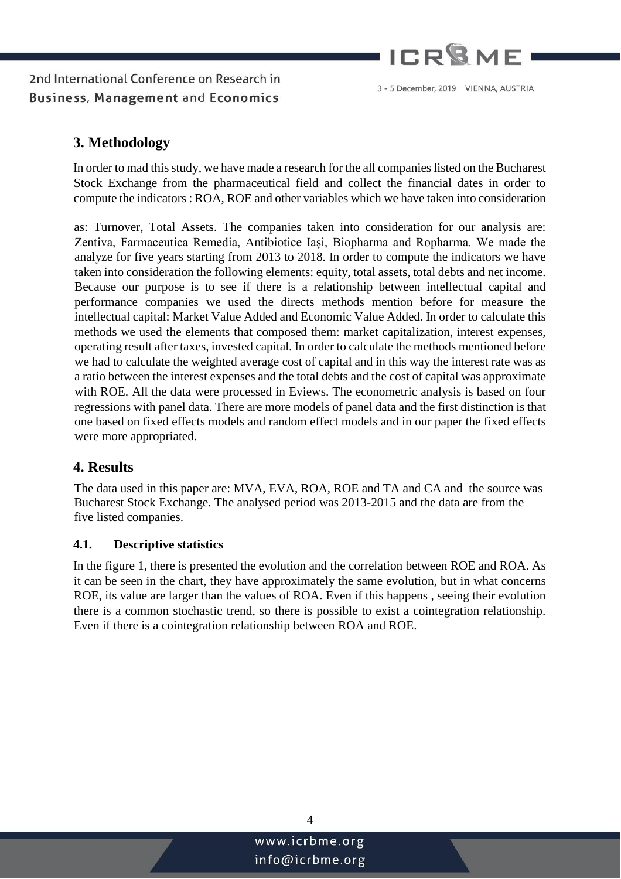

### **3. Methodology**

In order to mad this study, we have made a research for the all companies listed on the Bucharest Stock Exchange from the pharmaceutical field and collect the financial dates in order to compute the indicators : ROA, ROE and other variables which we have taken into consideration

as: Turnover, Total Assets. The companies taken into consideration for our analysis are: Zentiva, Farmaceutica Remedia, Antibiotice Iași, Biopharma and Ropharma. We made the analyze for five years starting from 2013 to 2018. In order to compute the indicators we have taken into consideration the following elements: equity, total assets, total debts and net income. Because our purpose is to see if there is a relationship between intellectual capital and performance companies we used the directs methods mention before for measure the intellectual capital: Market Value Added and Economic Value Added. In order to calculate this methods we used the elements that composed them: market capitalization, interest expenses, operating result after taxes, invested capital. In order to calculate the methods mentioned before we had to calculate the weighted average cost of capital and in this way the interest rate was as a ratio between the interest expenses and the total debts and the cost of capital was approximate with ROE. All the data were processed in Eviews. The econometric analysis is based on four regressions with panel data. There are more models of panel data and the first distinction is that one based on fixed effects models and random effect models and in our paper the fixed effects were more appropriated.

### **4. Results**

The data used in this paper are: MVA, EVA, ROA, ROE and TA and CA and the source was Bucharest Stock Exchange. The analysed period was 2013-2015 and the data are from the five listed companies.

#### **4.1. Descriptive statistics**

In the figure 1, there is presented the evolution and the correlation between ROE and ROA. As it can be seen in the chart, they have approximately the same evolution, but in what concerns ROE, its value are larger than the values of ROA. Even if this happens , seeing their evolution there is a common stochastic trend, so there is possible to exist a cointegration relationship. Even if there is a cointegration relationship between ROA and ROE.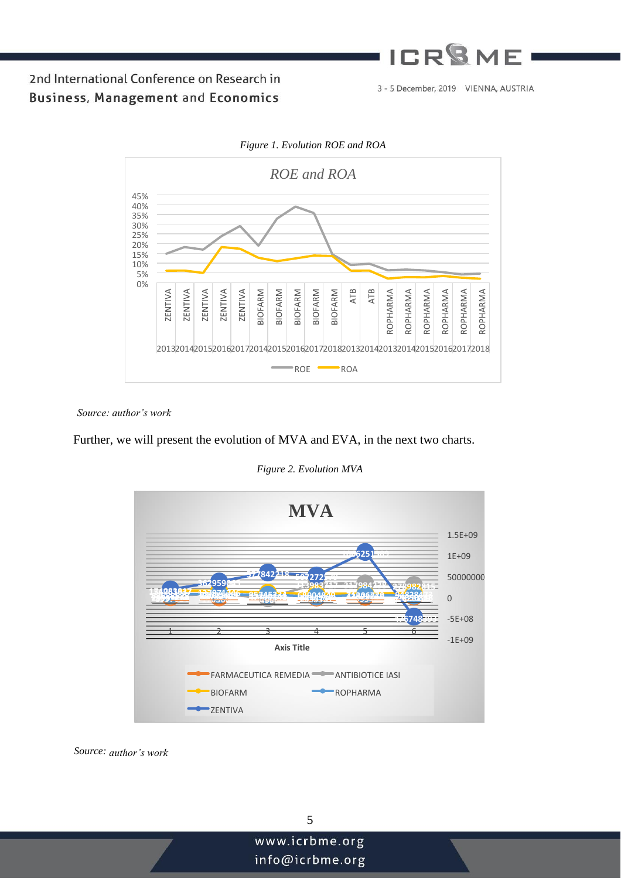# **ICR<sup>Q</sup>ME**

2nd International Conference on Research in **Business, Management and Economics** 

3 - 5 December, 2019 VIENNA, AUSTRIA



*Source: author's work*

Further, we will present the evolution of MVA and EVA, in the next two charts.



*Figure 2. Evolution MVA* 

*Source: author's work*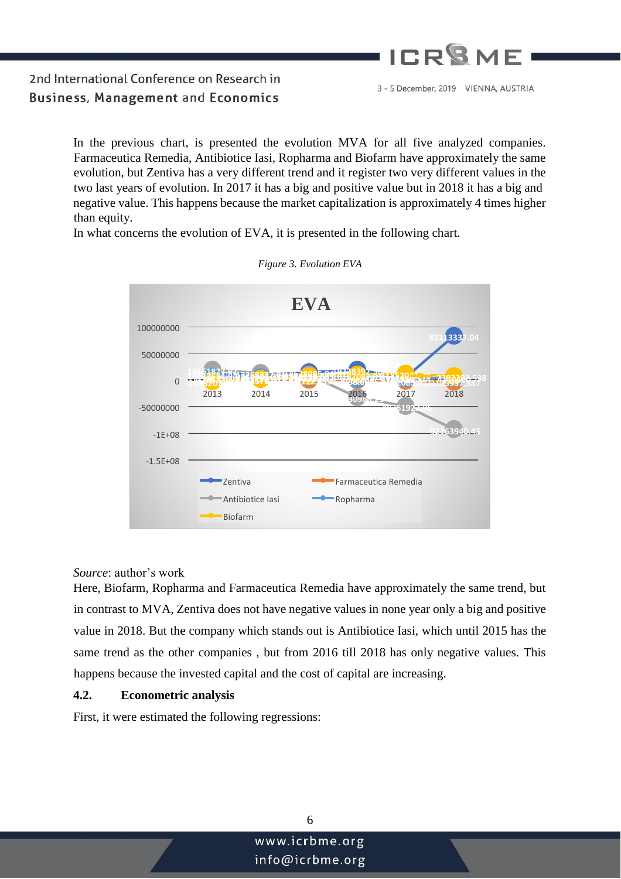

> In the previous chart, is presented the evolution MVA for all five analyzed companies. Farmaceutica Remedia, Antibiotice Iasi, Ropharma and Biofarm have approximately the same evolution, but Zentiva has a very different trend and it register two very different values in the two last years of evolution. In 2017 it has a big and positive value but in 2018 it has a big and negative value. This happens because the market capitalization is approximately 4 times higher than equity.

In what concerns the evolution of EVA, it is presented in the following chart.



*Figure 3. Evolution EVA*

#### *Source*: author's work

Here, Biofarm, Ropharma and Farmaceutica Remedia have approximately the same trend, but in contrast to MVA, Zentiva does not have negative values in none year only a big and positive value in 2018. But the company which stands out is Antibiotice Iasi, which until 2015 has the same trend as the other companies , but from 2016 till 2018 has only negative values. This happens because the invested capital and the cost of capital are increasing.

#### **4.2. Econometric analysis**

First, it were estimated the following regressions: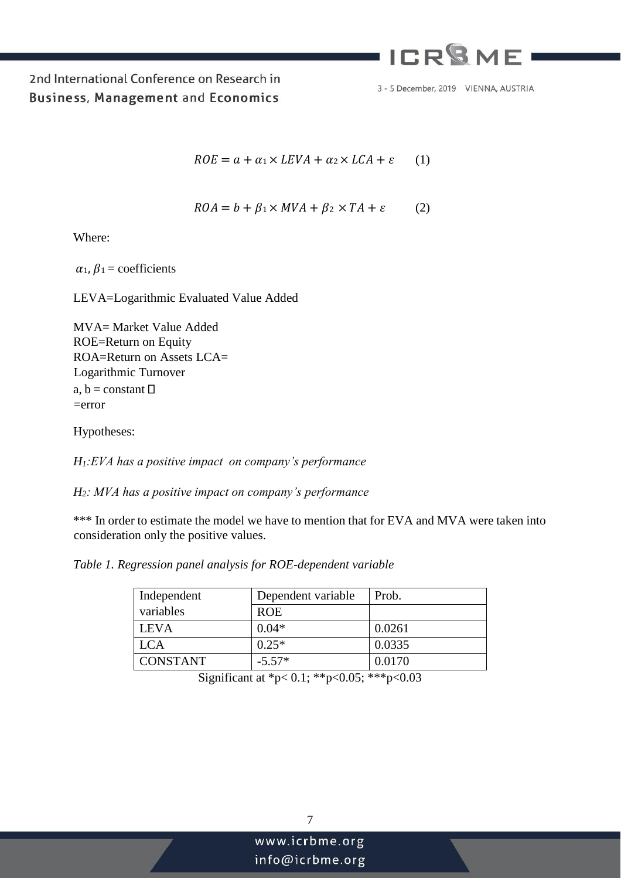## **ICR<sup>Q</sup>MF**

2nd International Conference on Research in **Business, Management and Economics** 

3 - 5 December, 2019 VIENNA, AUSTRIA

$$
ROE = a + \alpha_1 \times LEVA + \alpha_2 \times LCA + \varepsilon \qquad (1)
$$

$$
ROA = b + \beta_1 \times MVA + \beta_2 \times TA + \varepsilon \tag{2}
$$

Where:

 $\alpha_1$ ,  $\beta_1$  = coefficients

LEVA=Logarithmic Evaluated Value Added

MVA= Market Value Added ROE=Return on Equity ROA=Return on Assets LCA= Logarithmic Turnover a,  $b = constant \Box$ =error

Hypotheses:

*H1:EVA has a positive impact on company's performance* 

*H2: MVA has a positive impact on company's performance* 

\*\*\* In order to estimate the model we have to mention that for EVA and MVA were taken into consideration only the positive values.

*Table 1. Regression panel analysis for ROE-dependent variable* 

| Independent     | Dependent variable | Prob.  |
|-----------------|--------------------|--------|
| variables       | <b>ROE</b>         |        |
| <b>LEVA</b>     | $0.04*$            | 0.0261 |
| <b>LCA</b>      | $0.25*$            | 0.0335 |
| <b>CONSTANT</b> | $-5.57*$           | 0.0170 |

Significant at \*p< 0.1; \*\*p<0.05; \*\*\*p<0.03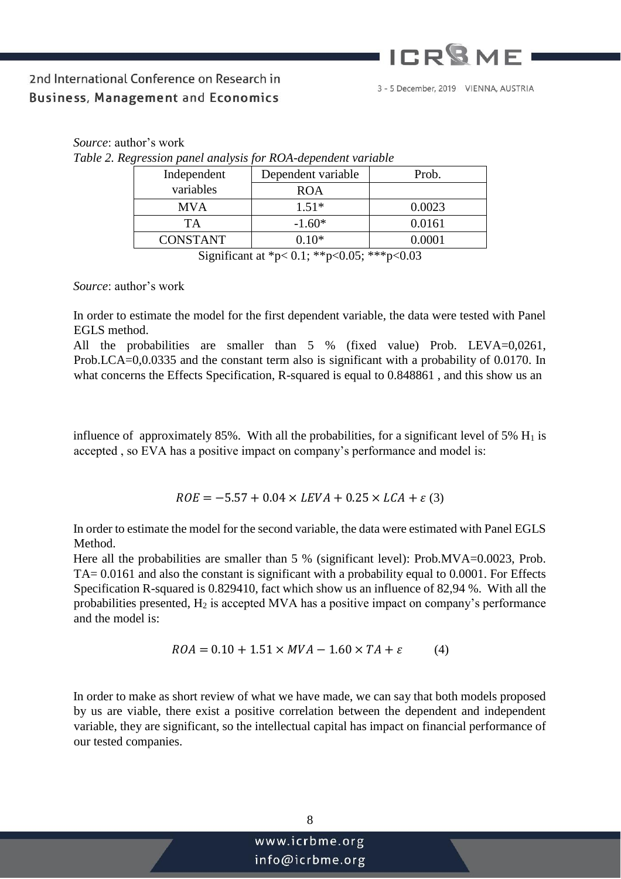# **ICP<sup>Q</sup>ME**

## 2nd International Conference on Research in **Business, Management and Economics**

| Table 2. Regression panel analysis for ROA-dependent variable |                 |                    |        |
|---------------------------------------------------------------|-----------------|--------------------|--------|
|                                                               | Independent     | Dependent variable | Prob.  |
|                                                               | variables       | <b>ROA</b>         |        |
|                                                               | <b>MVA</b>      | $1.51*$            | 0.0023 |
|                                                               | TA              | $-1.60*$           | 0.0161 |
|                                                               | <b>CONSTANT</b> | $0.10*$            | 0.0001 |
|                                                               |                 |                    |        |

Significant at \*p< 0.1; \*\*p<0.05; \*\*\*p<0.03

*Source*: author's work

*Source*: author's work

In order to estimate the model for the first dependent variable, the data were tested with Panel EGLS method.

All the probabilities are smaller than 5 % (fixed value) Prob. LEVA=0,0261, Prob.LCA=0,0.0335 and the constant term also is significant with a probability of 0.0170. In what concerns the Effects Specification, R-squared is equal to 0.848861 , and this show us an

influence of approximately 85%. With all the probabilities, for a significant level of 5%  $H_1$  is accepted , so EVA has a positive impact on company's performance and model is:

 $ROE = -5.57 + 0.04 \times LEVA + 0.25 \times LCA + \varepsilon$  (3)

In order to estimate the model for the second variable, the data were estimated with Panel EGLS Method.

Here all the probabilities are smaller than 5 % (significant level): Prob.MVA=0.0023, Prob. TA= 0.0161 and also the constant is significant with a probability equal to 0.0001. For Effects Specification R-squared is 0.829410, fact which show us an influence of 82,94 %. With all the probabilities presented,  $H_2$  is accepted MVA has a positive impact on company's performance and the model is:

$$
ROA = 0.10 + 1.51 \times MVA - 1.60 \times TA + \varepsilon
$$
 (4)

In order to make as short review of what we have made, we can say that both models proposed by us are viable, there exist a positive correlation between the dependent and independent variable, they are significant, so the intellectual capital has impact on financial performance of our tested companies.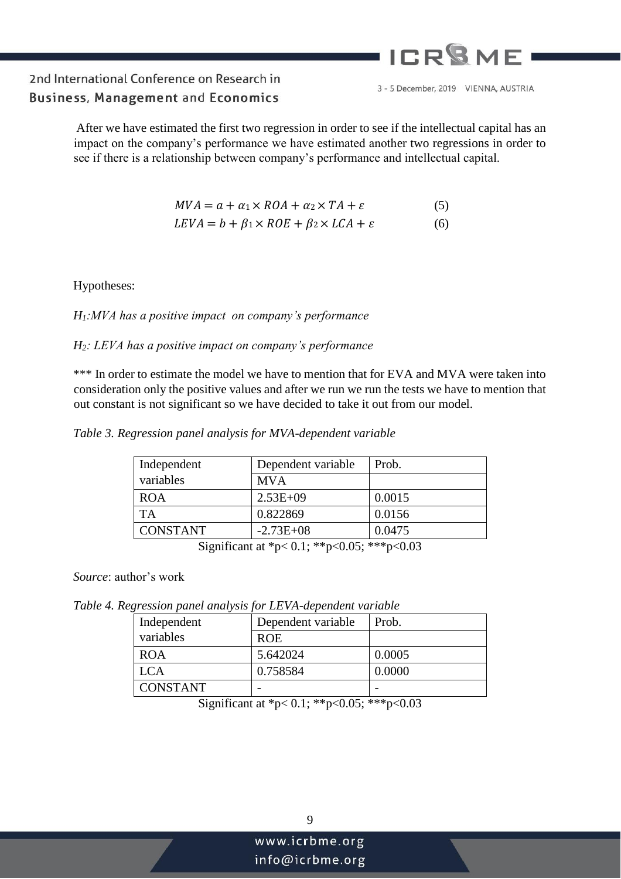## ICP<sup>Q</sup>ME

## 2nd International Conference on Research in **Business, Management and Economics**

3 - 5 December, 2019 VIENNA, AUSTRIA

After we have estimated the first two regression in order to see if the intellectual capital has an impact on the company's performance we have estimated another two regressions in order to see if there is a relationship between company's performance and intellectual capital.

| $MVA = a + \alpha_1 \times ROA + \alpha_2 \times TA + \varepsilon$ | (5) |
|--------------------------------------------------------------------|-----|
| $LEVA = b + \beta_1 \times ROE + \beta_2 \times LCA + \varepsilon$ | (6) |

Hypotheses:

#### *H1:MVA has a positive impact on company's performance*

#### *H2: LEVA has a positive impact on company's performance*

\*\*\* In order to estimate the model we have to mention that for EVA and MVA were taken into consideration only the positive values and after we run we run the tests we have to mention that out constant is not significant so we have decided to take it out from our model.

*Table 3. Regression panel analysis for MVA-dependent variable* 

| Independent                                                                | Dependent variable | Prob.  |
|----------------------------------------------------------------------------|--------------------|--------|
| variables                                                                  | <b>MVA</b>         |        |
| <b>ROA</b>                                                                 | $2.53E+09$         | 0.0015 |
| <b>TA</b>                                                                  | 0.822869           | 0.0156 |
| <b>CONSTANT</b>                                                            | $-2.73E+08$        | 0.0475 |
| $C'$ $C''$ $A' + B'$ $C''$ $A'' + C''$ $C''$ $D''$ $D''$ $D''$ $D''$ $D''$ |                    |        |

Significant at \*p< 0.1; \*\*p<0.05; \*\*\*p<0.03

*Source*: author's work

*Table 4. Regression panel analysis for LEVA-dependent variable* 

| Dependent variable | Prob.  |
|--------------------|--------|
| <b>ROE</b>         |        |
| 5.642024           | 0.0005 |
| 0.758584           | 0.0000 |
|                    |        |
|                    |        |

Significant at \*p< 0.1; \*\*p<0.05; \*\*\*p<0.03

info@icrbme.org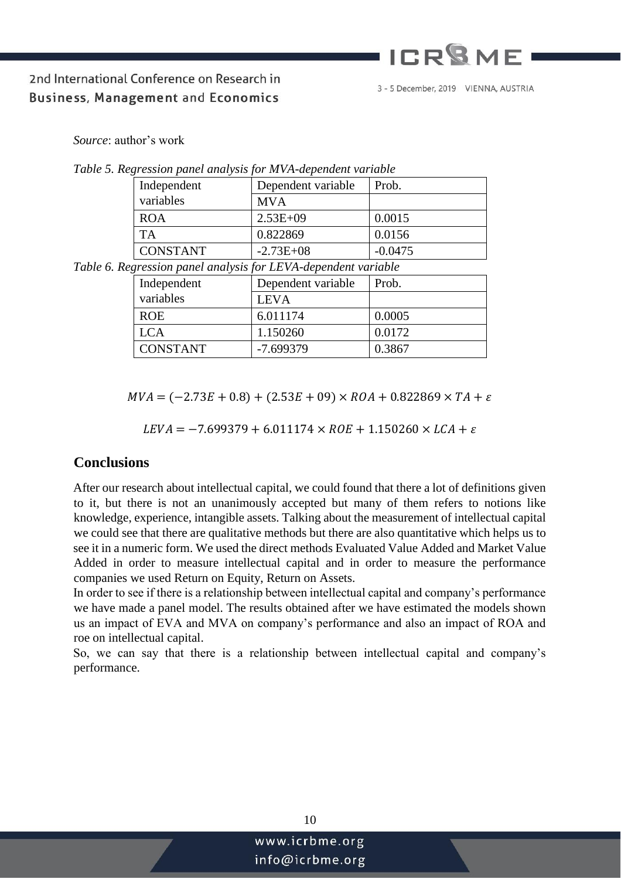# **ICR<sup>Q</sup>MF**

## 2nd International Conference on Research in **Business, Management and Economics**

3 - 5 December, 2019 VIENNA, AUSTRIA

*Source*: author's work

| $\alpha$ , cooled penior enter following the first energies for the resort |                    |           |
|----------------------------------------------------------------------------|--------------------|-----------|
| Independent                                                                | Dependent variable | Prob.     |
| variables                                                                  | <b>MVA</b>         |           |
| <b>ROA</b>                                                                 | $2.53E+09$         | 0.0015    |
| <b>TA</b>                                                                  | 0.822869           | 0.0156    |
| <b>CONSTANT</b>                                                            | $-2.73E+08$        | $-0.0475$ |
| $\sim$                                                                     |                    | .         |

*Table 5. Regression panel analysis for MVA-dependent variable* 

*Table 6. Regression panel analysis for LEVA-dependent variable* 

| Independent     | Dependent variable | Prob.  |
|-----------------|--------------------|--------|
| variables       | <b>LEVA</b>        |        |
| <b>ROE</b>      | 6.011174           | 0.0005 |
| LCA             | 1.150260           | 0.0172 |
| <b>CONSTANT</b> | $-7.699379$        | 0.3867 |

 $MVA = (-2.73E + 0.8) + (2.53E + 0.9) \times ROA + 0.822869 \times TA + \varepsilon$ 

 $LEVA = -7.699379 + 6.011174 \times ROE + 1.150260 \times LCA + \varepsilon$ 

#### **Conclusions**

After our research about intellectual capital, we could found that there a lot of definitions given to it, but there is not an unanimously accepted but many of them refers to notions like knowledge, experience, intangible assets. Talking about the measurement of intellectual capital we could see that there are qualitative methods but there are also quantitative which helps us to see it in a numeric form. We used the direct methods Evaluated Value Added and Market Value Added in order to measure intellectual capital and in order to measure the performance companies we used Return on Equity, Return on Assets.

In order to see if there is a relationship between intellectual capital and company's performance we have made a panel model. The results obtained after we have estimated the models shown us an impact of EVA and MVA on company's performance and also an impact of ROA and roe on intellectual capital.

So, we can say that there is a relationship between intellectual capital and company's performance.